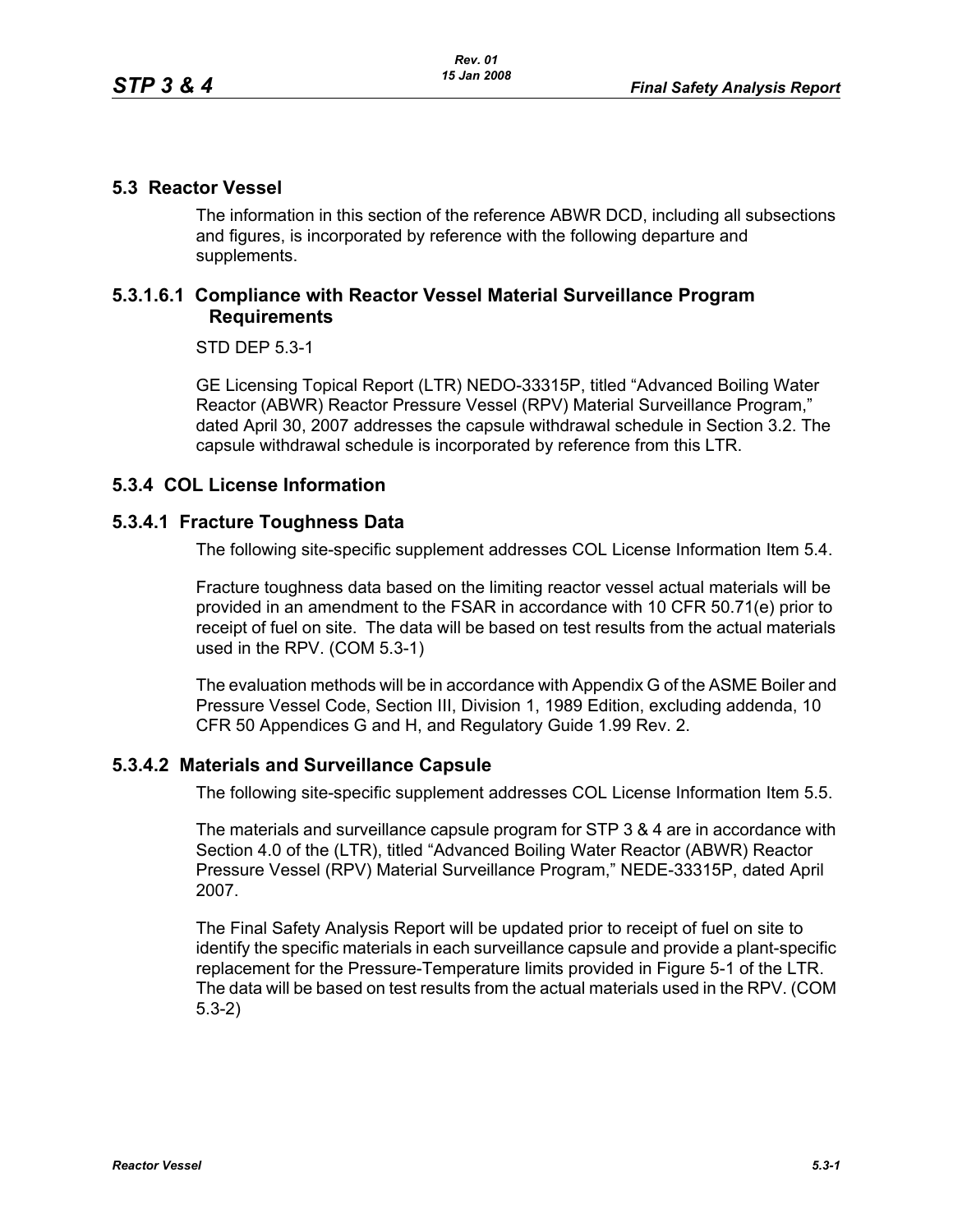#### **5.3 Reactor Vessel**

The information in this section of the reference ABWR DCD, including all subsections and figures, is incorporated by reference with the following departure and supplements.

### **5.3.1.6.1 Compliance with Reactor Vessel Material Surveillance Program Requirements**

STD DEP 5.3-1

GE Licensing Topical Report (LTR) NEDO-33315P, titled "Advanced Boiling Water Reactor (ABWR) Reactor Pressure Vessel (RPV) Material Surveillance Program," dated April 30, 2007 addresses the capsule withdrawal schedule in Section 3.2. The capsule withdrawal schedule is incorporated by reference from this LTR.

## **5.3.4 COL License Information**

## **5.3.4.1 Fracture Toughness Data**

The following site-specific supplement addresses COL License Information Item 5.4.

Fracture toughness data based on the limiting reactor vessel actual materials will be provided in an amendment to the FSAR in accordance with 10 CFR 50.71(e) prior to receipt of fuel on site. The data will be based on test results from the actual materials used in the RPV. (COM 5.3-1)

The evaluation methods will be in accordance with Appendix G of the ASME Boiler and Pressure Vessel Code, Section III, Division 1, 1989 Edition, excluding addenda, 10 CFR 50 Appendices G and H, and Regulatory Guide 1.99 Rev. 2.

#### **5.3.4.2 Materials and Surveillance Capsule**

The following site-specific supplement addresses COL License Information Item 5.5.

The materials and surveillance capsule program for STP 3 & 4 are in accordance with Section 4.0 of the (LTR), titled "Advanced Boiling Water Reactor (ABWR) Reactor Pressure Vessel (RPV) Material Surveillance Program," NEDE-33315P, dated April 2007.

The Final Safety Analysis Report will be updated prior to receipt of fuel on site to identify the specific materials in each surveillance capsule and provide a plant-specific replacement for the Pressure-Temperature limits provided in Figure 5-1 of the LTR. The data will be based on test results from the actual materials used in the RPV. (COM 5.3-2)